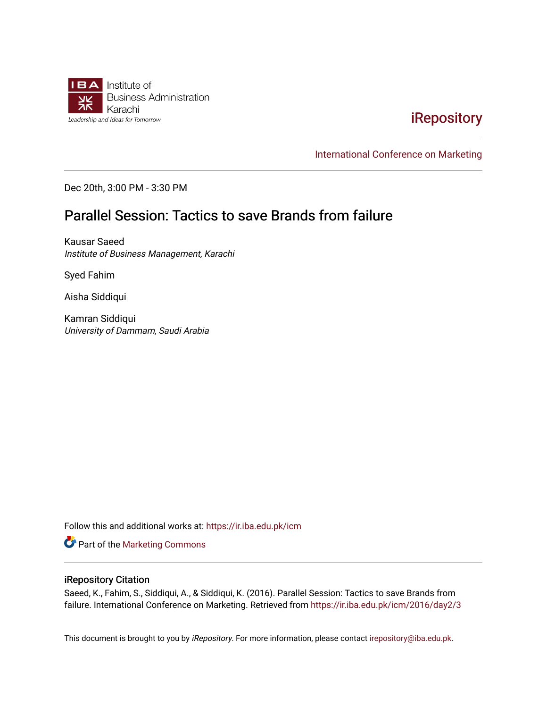

# [iRepository](https://ir.iba.edu.pk/)

[International Conference on Marketing](https://ir.iba.edu.pk/icm) 

Dec 20th, 3:00 PM - 3:30 PM

# Parallel Session: Tactics to save Brands from failure

Kausar Saeed Institute of Business Management, Karachi

Syed Fahim

Aisha Siddiqui

Kamran Siddiqui University of Dammam, Saudi Arabia

Follow this and additional works at: [https://ir.iba.edu.pk/icm](https://ir.iba.edu.pk/icm?utm_source=ir.iba.edu.pk%2Ficm%2F2016%2Fday2%2F3&utm_medium=PDF&utm_campaign=PDFCoverPages) 

Part of the [Marketing Commons](http://network.bepress.com/hgg/discipline/638?utm_source=ir.iba.edu.pk%2Ficm%2F2016%2Fday2%2F3&utm_medium=PDF&utm_campaign=PDFCoverPages)

#### iRepository Citation

Saeed, K., Fahim, S., Siddiqui, A., & Siddiqui, K. (2016). Parallel Session: Tactics to save Brands from failure. International Conference on Marketing. Retrieved from [https://ir.iba.edu.pk/icm/2016/day2/3](https://ir.iba.edu.pk/icm/2016/day2/3?utm_source=ir.iba.edu.pk%2Ficm%2F2016%2Fday2%2F3&utm_medium=PDF&utm_campaign=PDFCoverPages)

This document is brought to you by iRepository. For more information, please contact [irepository@iba.edu.pk](mailto:irepository@iba.edu.pk).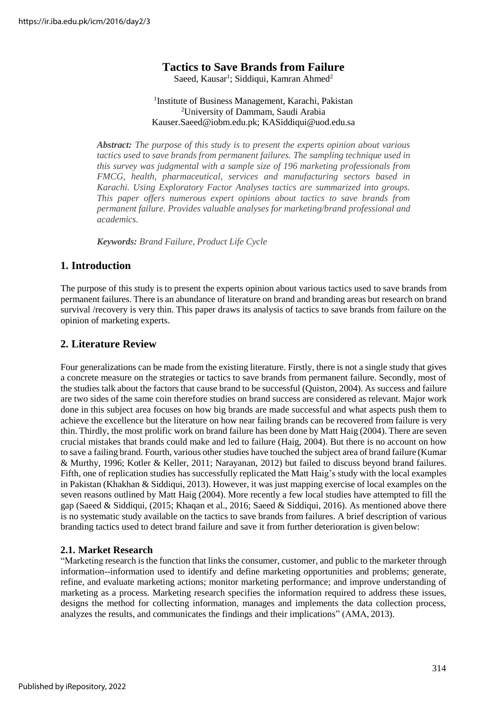# **Tactics to Save Brands from Failure**

Saeed, Kausar<sup>1</sup>; Siddiqui, Kamran Ahmed<sup>2</sup>

#### <sup>1</sup>Institute of Business Management, Karachi, Pakistan <sup>2</sup>University of Dammam, Saudi Arabia Kauser.Saeed@iobm.edu.pk; [KASiddiqui@uod.edu.sa](mailto:KASiddiqui@uod.edu.sa)

*Abstract: The purpose of this study is to present the experts opinion about various tactics used to save brands from permanent failures. The sampling technique used in this survey was judgmental with a sample size of 196 marketing professionals from FMCG, health, pharmaceutical, services and manufacturing sectors based in Karachi. Using Exploratory Factor Analyses tactics are summarized into groups. This paper offers numerous expert opinions about tactics to save brands from permanent failure. Provides valuable analyses for marketing/brand professional and academics.*

*Keywords: Brand Failure, Product Life Cycle*

## **1. Introduction**

The purpose of this study is to present the experts opinion about various tactics used to save brands from permanent failures. There is an abundance of literature on brand and branding areas but research on brand survival /recovery is very thin. This paper draws its analysis of tactics to save brands from failure on the opinion of marketing experts.

# **2. Literature Review**

Four generalizations can be made from the existing literature. Firstly, there is not a single study that gives a concrete measure on the strategies or tactics to save brands from permanent failure. Secondly, most of the studies talk about the factors that cause brand to be successful (Quiston, 2004). As success and failure are two sides of the same coin therefore studies on brand success are considered as relevant. Major work done in this subject area focuses on how big brands are made successful and what aspects push them to achieve the excellence but the literature on how near failing brands can be recovered from failure is very thin. Thirdly, the most prolific work on brand failure has been done by Matt Haig (2004). There are seven crucial mistakes that brands could make and led to failure (Haig, 2004). But there is no account on how to save a failing brand. Fourth, various other studies have touched the subject area of brand failure (Kumar & Murthy, 1996; Kotler & Keller, 2011; Narayanan, 2012) but failed to discuss beyond brand failures. Fifth, one of replication studies has successfully replicated the Matt Haig's study with the local examples in Pakistan (Khakhan & Siddiqui, 2013). However, it was just mapping exercise of local examples on the seven reasons outlined by Matt Haig (2004). More recently a few local studies have attempted to fill the gap (Saeed & Siddiqui, (2015; Khaqan et al., 2016; Saeed & Siddiqui, 2016). As mentioned above there is no systematic study available on the tactics to save brands from failures. A brief description of various branding tactics used to detect brand failure and save it from further deterioration is given below:

#### **2.1. Market Research**

"Marketing research is the function that links the consumer, customer, and public to the marketer through information--information used to identify and define marketing opportunities and problems; generate, refine, and evaluate marketing actions; monitor marketing performance; and improve understanding of marketing as a process. Marketing research specifies the information required to address these issues, designs the method for collecting information, manages and implements the data collection process, analyzes the results, and communicates the findings and their implications" (AMA, 2013).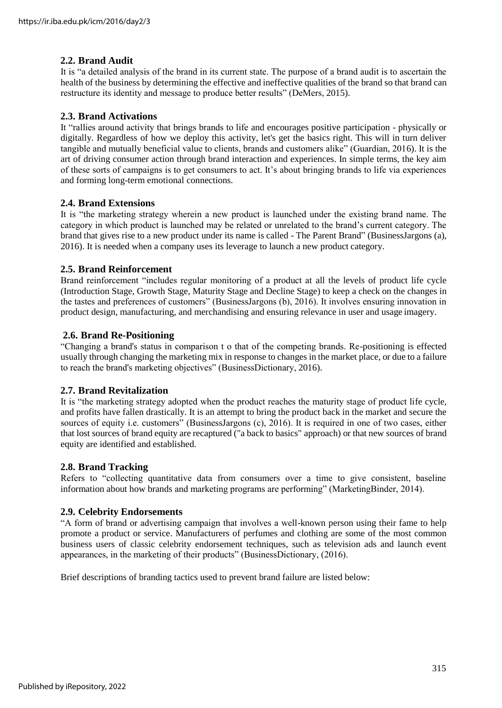### **2.2. Brand Audit**

It is "a detailed analysis of the brand in its current state. The purpose of a brand audit is to ascertain the health of the business by determining the effective and ineffective qualities of the brand so that brand can restructure its identity and message to produce better results" (DeMers, 2015).

#### **2.3. Brand Activations**

It "rallies around activity that brings brands to life and encourages positive participation - physically or digitally. Regardless of how we deploy this activity, let's get the basics right. This will in turn deliver tangible and mutually beneficial value to clients, brands and customers alike" (Guardian, 2016). It is the art of driving consumer action through brand interaction and experiences. In simple terms, the key aim of these sorts of campaigns is to get consumers to act. It's about bringing brands to life via experiences and forming long-term emotional connections.

#### **2.4. Brand Extensions**

It is "the marketing strategy wherein a new product is launched under the existing brand name. The category in which product is launched may be related or unrelated to the brand's current category. The brand that gives rise to a new product under its name is called - The Parent Brand" (BusinessJargons (a), 2016). It is needed when a company uses its leverage to launch a new product category.

#### **2.5. Brand Reinforcement**

Brand reinforcement "includes regular monitoring of a product at all the levels of product life cycle (Introduction Stage, Growth Stage, Maturity Stage and Decline Stage) to keep a check on the changes in the tastes and preferences of customers" (BusinessJargons (b), 2016). It involves ensuring innovation in product design, manufacturing, and merchandising and ensuring relevance in user and usage imagery.

#### **2.6. Brand Re-Positioning**

"Changing a brand's status in comparison t o that of the competing brands. Re-positioning is effected usually through changing the marketing mix in response to changes in the market place, or due to a failure to reach the brand's marketing objectives" (BusinessDictionary, 2016).

#### **2.7. Brand Revitalization**

It is "the marketing strategy adopted when the product reaches the maturity stage of product life cycle, and profits have fallen drastically. It is an attempt to bring the product back in the market and secure the sources of equity i.e. customers" (BusinessJargons (c), 2016). It is required in one of two cases, either that lost sources of brand equity are recaptured ("a back to basics" approach) or that new sources of brand equity are identified and established.

#### **2.8. Brand Tracking**

Refers to "collecting quantitative data from consumers over a time to give consistent, baseline information about how brands and marketing programs are performing" (MarketingBinder, 2014).

#### **2.9. Celebrity Endorsements**

"A form of brand or advertising campaign that involves a well-known person using their fame to help promote a product or service. Manufacturers of perfumes and clothing are some of the most common business users of classic celebrity endorsement techniques, such as television ads and launch event appearances, in the marketing of their products" (BusinessDictionary, (2016).

Brief descriptions of branding tactics used to prevent brand failure are listed below: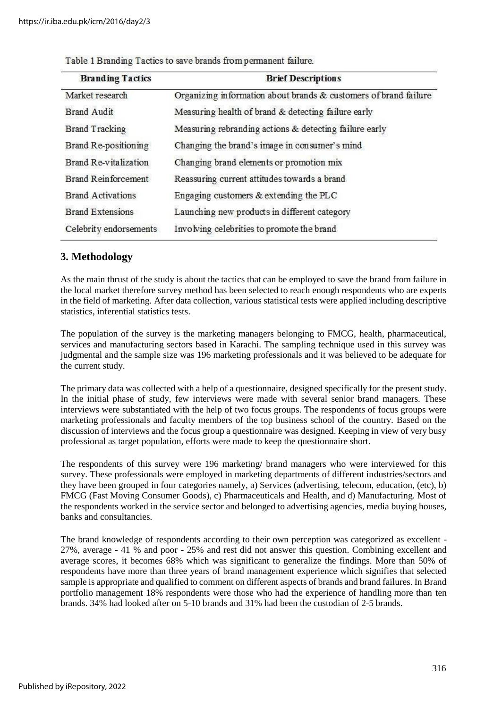| <b>Branding Tactics</b>    | <b>Brief Descriptions</b>                                        |  |  |
|----------------------------|------------------------------------------------------------------|--|--|
| Market research            | Organizing information about brands & customers of brand failure |  |  |
| <b>Brand Audit</b>         | Measuring health of brand & detecting failure early              |  |  |
| <b>Brand Tracking</b>      | Measuring rebranding actions & detecting failure early           |  |  |
| Brand Re-positioning       | Changing the brand's image in consumer's mind                    |  |  |
| Brand Re-vitalization      | Changing brand elements or promotion mix                         |  |  |
| <b>Brand Reinforcement</b> | Reassuring current attitudes towards a brand                     |  |  |
| <b>Brand Activations</b>   | Engaging customers & extending the PLC                           |  |  |
| <b>Brand Extensions</b>    | Launching new products in different category                     |  |  |
| Celebrity endorsements     | Involving celebrities to promote the brand                       |  |  |
|                            |                                                                  |  |  |

Table 1 Branding Tactics to save brands from permanent failure.

# **3. Methodology**

As the main thrust of the study is about the tactics that can be employed to save the brand from failure in the local market therefore survey method has been selected to reach enough respondents who are experts in the field of marketing. After data collection, various statistical tests were applied including descriptive statistics, inferential statistics tests.

The population of the survey is the marketing managers belonging to FMCG, health, pharmaceutical, services and manufacturing sectors based in Karachi. The sampling technique used in this survey was judgmental and the sample size was 196 marketing professionals and it was believed to be adequate for the current study.

The primary data was collected with a help of a questionnaire, designed specifically for the present study. In the initial phase of study, few interviews were made with several senior brand managers. These interviews were substantiated with the help of two focus groups. The respondents of focus groups were marketing professionals and faculty members of the top business school of the country. Based on the discussion of interviews and the focus group a questionnaire was designed. Keeping in view of very busy professional as target population, efforts were made to keep the questionnaire short.

The respondents of this survey were 196 marketing/ brand managers who were interviewed for this survey. These professionals were employed in marketing departments of different industries/sectors and they have been grouped in four categories namely, a) Services (advertising, telecom, education, (etc), b) FMCG (Fast Moving Consumer Goods), c) Pharmaceuticals and Health, and d) Manufacturing. Most of the respondents worked in the service sector and belonged to advertising agencies, media buying houses, banks and consultancies.

The brand knowledge of respondents according to their own perception was categorized as excellent - 27%, average - 41 % and poor - 25% and rest did not answer this question. Combining excellent and average scores, it becomes 68% which was significant to generalize the findings. More than 50% of respondents have more than three years of brand management experience which signifies that selected sample is appropriate and qualified to comment on different aspects of brands and brand failures. In Brand portfolio management 18% respondents were those who had the experience of handling more than ten brands. 34% had looked after on 5-10 brands and 31% had been the custodian of 2-5 brands.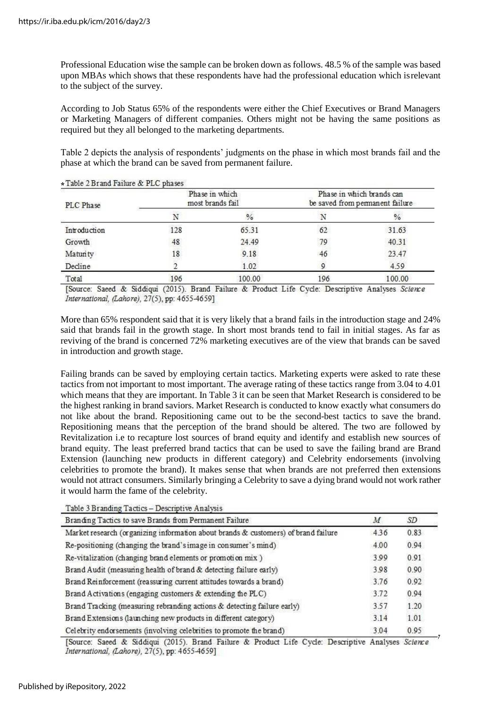Professional Education wise the sample can be broken down as follows. 48.5 % of the sample was based upon MBAs which shows that these respondents have had the professional education which isrelevant to the subject of the survey.

According to Job Status 65% of the respondents were either the Chief Executives or Brand Managers or Marketing Managers of different companies. Others might not be having the same positions as required but they all belonged to the marketing departments.

Table 2 depicts the analysis of respondents' judgments on the phase in which most brands fail and the phase at which the brand can be saved from permanent failure.

| PLC Phase    | Phase in which<br>most brands fail |        | Phase in which brands can<br>be saved from permanent failure |               |
|--------------|------------------------------------|--------|--------------------------------------------------------------|---------------|
|              |                                    | $\%$   |                                                              | $\frac{9}{6}$ |
| Introduction | 128                                | 65.31  | 62                                                           | 31.63         |
| Growth       | 48                                 | 24.49  | 79                                                           | 40.31         |
| Maturity     | 18                                 | 9.18   | 46                                                           | 23.47         |
| Decline      |                                    | 1.02   |                                                              | 4.59          |
| Total        | 196                                | 100.00 | 196                                                          | 100.00        |

 $T-1$   $\uparrow$   $T$   $\uparrow$   $T$   $\downarrow$   $T$   $\downarrow$   $T$   $\downarrow$   $T$   $\uparrow$   $T$   $\uparrow$   $T$   $\downarrow$   $T$   $\downarrow$   $T$   $\downarrow$   $T$   $\downarrow$   $T$   $\downarrow$   $T$   $\downarrow$   $T$   $\downarrow$   $T$   $\downarrow$   $T$   $\downarrow$   $T$   $\downarrow$   $T$   $\downarrow$   $T$   $\downarrow$   $T$   $\downarrow$   $T$   $\downarrow$   $T$   $\downarrow$ 

[Source: Saeed & Siddiqui (2015). Brand Failure & Product Life Cycle: Descriptive Analyses Science International, (Lahore), 27(5), pp: 4655-4659]

More than 65% respondent said that it is very likely that a brand fails in the introduction stage and 24% said that brands fail in the growth stage. In short most brands tend to fail in initial stages. As far as reviving of the brand is concerned 72% marketing executives are of the view that brands can be saved in introduction and growth stage.

Failing brands can be saved by employing certain tactics. Marketing experts were asked to rate these tactics from not important to most important. The average rating of these tactics range from 3.04 to 4.01 which means that they are important. In Table 3 it can be seen that Market Research is considered to be the highest ranking in brand saviors. Market Research is conducted to know exactly what consumers do not like about the brand. Repositioning came out to be the second-best tactics to save the brand. Repositioning means that the perception of the brand should be altered. The two are followed by Revitalization i.e to recapture lost sources of brand equity and identify and establish new sources of brand equity. The least preferred brand tactics that can be used to save the failing brand are Brand Extension (launching new products in different category) and Celebrity endorsements (involving celebrities to promote the brand). It makes sense that when brands are not preferred then extensions would not attract consumers. Similarly bringing a Celebrity to save a dying brand would not work rather it would harm the fame of the celebrity.

|  | Table 3 Branding Tactics - Descriptive Analysis |  |
|--|-------------------------------------------------|--|
|--|-------------------------------------------------|--|

| Branding Tactics to save Brands from Permanent Failure                                                  |      | SD               |
|---------------------------------------------------------------------------------------------------------|------|------------------|
| Market research (organizing information about brands & customers) of brand failure                      | 436  | 0.83             |
| Re-positioning (changing the brand's image in consumer's mind)                                          | 4.00 | 0.94             |
| Re-vitalization (changing brand elements or promotion mix)                                              | 3.99 | 0.91             |
| Brand Audit (measuring health of brand & detecting failure early)                                       | 3.98 | 0.90             |
| Brand Reinforcement (reassuring current attitudes towards a brand)                                      | 3.76 | 0.92             |
| Brand Activations (engaging customers & extending the PLC)                                              | 3.72 | 0.94             |
| Brand Tracking (measuring rebranding actions & detecting failure early)                                 | 3.57 | 1.20             |
| Brand Extensions (launching new products in different category)                                         | 3.14 | 1.01             |
| Celebrity endorsements (involving celebrities to promote the brand)                                     | 3.04 | 0.95             |
| [Correspondent D. C. d. disput COOLEA Downed Dailyers, D. Dandard J. C. Caroline Domesiation, Anglorean |      | $C_{\text{min}}$ |

[Source: Saeed & Siddiqui (2015). Brand Failure & Product Life Cycle: Descriptive Analyses Science International, (Lahore), 27(5), pp: 4655-4659]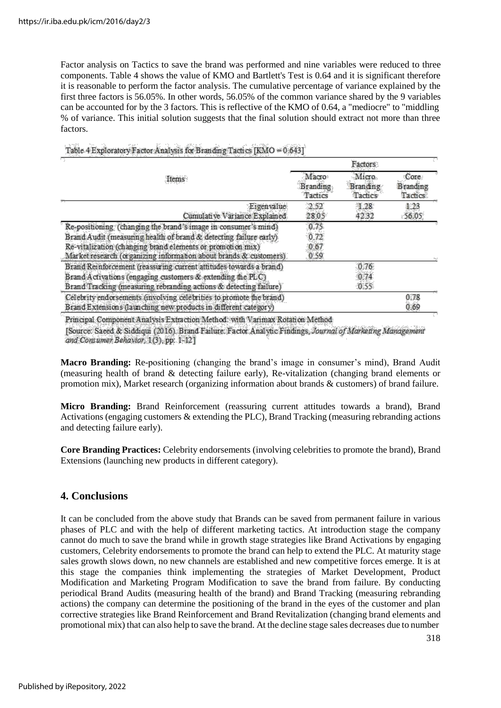Factor analysis on Tactics to save the brand was performed and nine variables were reduced to three components. Table 4 shows the value of KMO and Bartlett's Test is 0.64 and it is significant therefore it is reasonable to perform the factor analysis. The cumulative percentage of variance explained by the first three factors is 56.05%. In other words, 56.05% of the common variance shared by the 9 variables can be accounted for by the 3 factors. This is reflective of the KMO of 0.64, a "mediocre" to "middling % of variance. This initial solution suggests that the final solution should extract not more than three factors.

|                                                                     | Factors                      |                              |                                     |
|---------------------------------------------------------------------|------------------------------|------------------------------|-------------------------------------|
| Items                                                               | Macro<br>Branding<br>Tactics | Micro<br>Branding<br>Tactics | Core<br><b>B</b> randing<br>Tactics |
| Eigenvalue                                                          | 2.52                         | 1.28                         | 123                                 |
| Cumulative Variance Explained                                       | 28.05                        | 42.32                        | 56.05                               |
| Re-positioning (changing the brand's image in consumer's mind)      | 0.75                         |                              |                                     |
| Brand Audit (measuring health of brand & detecting failure early)   | 0.72                         |                              |                                     |
| Re-vitalization (changing brand elements or promotion mix)          | 0.67                         |                              |                                     |
| Market research (organizing information about brands & customers)   | 0.59                         |                              |                                     |
| Brand Reinforcement (reassuring current attitudes towards a brand)  |                              | 0.76                         |                                     |
| Brand Activations (engaging customers & extending the PLC)          |                              | 0.74                         |                                     |
| Brand Tracking (measuring rebranding actions & detecting failure)   |                              | 0.55                         |                                     |
| Celebrity endorsements (involving celebrities to promote the brand) |                              |                              | 0.78                                |
| Brand Extensions (launching new products in different category)     |                              |                              | 0.69                                |
|                                                                     |                              |                              |                                     |

Table 4 Exploratory Factor Analysis for Branding Tactics [KMO = 0.643]

Principal Component Analysis Extraction Method: with Varimax Rotation Method

[Source: Saeed & Siddiqui (2016). Brand Failure: Factor Analytic Findings, Journal of Marketing Management and Consumer Behavior, 1(3), pp: 1-12]

**Macro Branding:** Re-positioning (changing the brand's image in consumer's mind), Brand Audit (measuring health of brand & detecting failure early), Re-vitalization (changing brand elements or promotion mix), Market research (organizing information about brands & customers) of brand failure.

**Micro Branding:** Brand Reinforcement (reassuring current attitudes towards a brand), Brand Activations (engaging customers & extending the PLC), Brand Tracking (measuring rebranding actions and detecting failure early).

**Core Branding Practices:** Celebrity endorsements (involving celebrities to promote the brand), Brand Extensions (launching new products in different category).

## **4. Conclusions**

It can be concluded from the above study that Brands can be saved from permanent failure in various phases of PLC and with the help of different marketing tactics. At introduction stage the company cannot do much to save the brand while in growth stage strategies like Brand Activations by engaging customers, Celebrity endorsements to promote the brand can help to extend the PLC. At maturity stage sales growth slows down, no new channels are established and new competitive forces emerge. It is at this stage the companies think implementing the strategies of Market Development, Product Modification and Marketing Program Modification to save the brand from failure. By conducting periodical Brand Audits (measuring health of the brand) and Brand Tracking (measuring rebranding actions) the company can determine the positioning of the brand in the eyes of the customer and plan corrective strategies like Brand Reinforcement and Brand Revitalization (changing brand elements and promotional mix) that can also help to save the brand. At the decline stage sales decreases due to number

318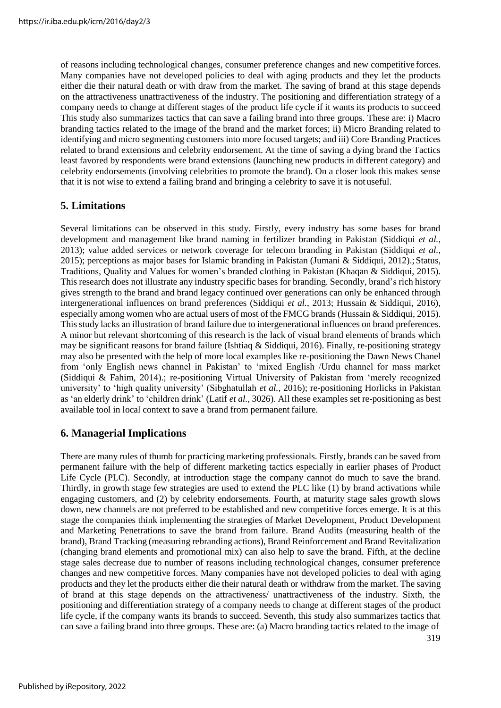of reasons including technological changes, consumer preference changes and new competitive forces. Many companies have not developed policies to deal with aging products and they let the products either die their natural death or with draw from the market. The saving of brand at this stage depends on the attractiveness unattractiveness of the industry. The positioning and differentiation strategy of a company needs to change at different stages of the product life cycle if it wants its products to succeed This study also summarizes tactics that can save a failing brand into three groups. These are: i) Macro branding tactics related to the image of the brand and the market forces; ii) Micro Branding related to identifying and micro segmenting customers into more focused targets; and iii) Core Branding Practices related to brand extensions and celebrity endorsement. At the time of saving a dying brand the Tactics least favored by respondents were brand extensions (launching new products in different category) and celebrity endorsements (involving celebrities to promote the brand). On a closer look this makes sense that it is not wise to extend a failing brand and bringing a celebrity to save it is not useful.

# **5. Limitations**

Several limitations can be observed in this study. Firstly, every industry has some bases for brand development and management like brand naming in fertilizer branding in Pakistan (Siddiqui *et al.*, 2013); value added services or network coverage for telecom branding in Pakistan (Siddiqui *et al.*, 2015); perceptions as major bases for Islamic branding in Pakistan (Jumani & Siddiqui, 2012).;Status, Traditions, Quality and Values for women's branded clothing in Pakistan (Khaqan & Siddiqui, 2015). This research does not illustrate any industry specific bases for branding. Secondly, brand's rich history gives strength to the brand and brand legacy continued over generations can only be enhanced through intergenerational influences on brand preferences (Siddiqui *et al.*, 2013; Hussain & Siddiqui, 2016), especially among women who are actual users of most of the FMCG brands (Hussain & Siddiqui, 2015). This study lacks an illustration of brand failure due to intergenerational influences on brand preferences. A minor but relevant shortcoming of this research is the lack of visual brand elements of brands which may be significant reasons for brand failure (Ishtiaq & Siddiqui, 2016). Finally, re-positioning strategy may also be presented with the help of more local examples like re-positioning the Dawn News Chanel from 'only English news channel in Pakistan' to 'mixed English /Urdu channel for mass market (Siddiqui & Fahim, 2014).; re-positioning Virtual University of Pakistan from 'merely recognized university' to 'high quality university' (Sibghatullah *et al.*, 2016); re-positioning Horlicks in Pakistan as 'an elderly drink' to 'children drink' (Latif *et al.*, 3026). All these examples set re-positioning as best available tool in local context to save a brand from permanent failure.

# **6. Managerial Implications**

There are many rules of thumb for practicing marketing professionals. Firstly, brands can be saved from permanent failure with the help of different marketing tactics especially in earlier phases of Product Life Cycle (PLC). Secondly, at introduction stage the company cannot do much to save the brand. Thirdly, in growth stage few strategies are used to extend the PLC like (1) by brand activations while engaging customers, and (2) by celebrity endorsements. Fourth, at maturity stage sales growth slows down, new channels are not preferred to be established and new competitive forces emerge. It is at this stage the companies think implementing the strategies of Market Development, Product Development and Marketing Penetrations to save the brand from failure. Brand Audits (measuring health of the brand), Brand Tracking (measuring rebranding actions), Brand Reinforcement and Brand Revitalization (changing brand elements and promotional mix) can also help to save the brand. Fifth, at the decline stage sales decrease due to number of reasons including technological changes, consumer preference changes and new competitive forces. Many companies have not developed policies to deal with aging products and they let the products either die their natural death or withdraw from the market. The saving of brand at this stage depends on the attractiveness/ unattractiveness of the industry. Sixth, the positioning and differentiation strategy of a company needs to change at different stages of the product life cycle, if the company wants its brands to succeed. Seventh, this study also summarizes tactics that can save a failing brand into three groups. These are: (a) Macro branding tactics related to the image of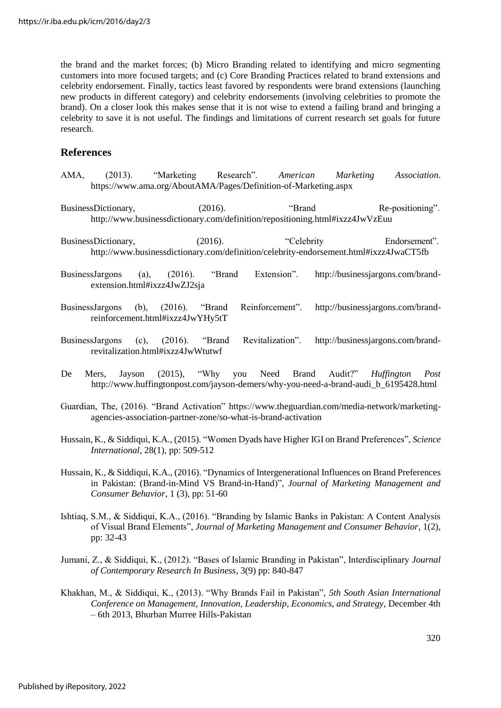the brand and the market forces; (b) Micro Branding related to identifying and micro segmenting customers into more focused targets; and (c) Core Branding Practices related to brand extensions and celebrity endorsement. Finally, tactics least favored by respondents were brand extensions (launching new products in different category) and celebrity endorsements (involving celebrities to promote the brand). On a closer look this makes sense that it is not wise to extend a failing brand and bringing a celebrity to save it is not useful. The findings and limitations of current research set goals for future research.

## **References**

- AMA, (2013). "Marketing Research". *American Marketing Association*. https:/[/www.ama.org/AboutAMA/Pages/Definition-of-Marketing.aspx](http://www.ama.org/AboutAMA/Pages/Definition-of-Marketing.aspx)
- BusinessDictionary, (2016). "Brand Re-positioning". <http://www.businessdictionary.com/definition/repositioning.html#ixzz4JwVzEuu>
- BusinessDictionary, (2016). "Celebrity Endorsement". <http://www.businessdictionary.com/definition/celebrity-endorsement.html#ixzz4JwaCT5fb>
- BusinessJargons (a), (2016). "Brand Extension". [http://businessjargons.com/brand](http://businessjargons.com/brand-)extension.html#ixzz4JwZJ2sja
- BusinessJargons (b), (2016). "Brand Reinforcement". [http://businessjargons.com/brand](http://businessjargons.com/brand-)reinforcement.html#ixzz4JwYHy5tT
- BusinessJargons (c), (2016). "Brand Revitalization". [http://businessjargons.com/brand](http://businessjargons.com/brand-)revitalization.html#ixzz4JwWtutwf
- De Mers, Jayson (2015), "Why you Need Brand Audit?" *Huffington Post* [http://www.huffingtonpost.com/jayson-demers/why-you-need-a-brand-audi\\_b\\_6195428.html](http://www.huffingtonpost.com/jayson-demers/why-you-need-a-brand-audi_b_6195428.html)
- Guardian, The, (2016). "Brand Activation" https:/[/www.theguardian.com/media-network/marketing](http://www.theguardian.com/media-network/marketing-)agencies-association-partner-zone/so-what-is-brand-activation
- Hussain, K., & Siddiqui, K.A., (2015). "Women Dyads have Higher IGI on Brand Preferences", *Science International*, 28(1), pp: 509-512
- Hussain, K., & Siddiqui, K.A., (2016). "Dynamics of Intergenerational Influences on Brand Preferences in Pakistan: (Brand-in-Mind VS Brand-in-Hand)", *Journal of Marketing Management and Consumer Behavior*, 1 (3), pp: 51-60
- Ishtiaq, S.M., & Siddiqui, K.A., (2016). "Branding by Islamic Banks in Pakistan: A Content Analysis of Visual Brand Elements", *Journal of Marketing Management and Consumer Behavior*, 1(2), pp: 32-43
- Jumani, Z., & Siddiqui, K., (2012). "Bases of Islamic Branding in Pakistan", Interdisciplinary *Journal of Contemporary Research In Business*, 3(9) pp: 840-847
- Khakhan, M., & Siddiqui, K., (2013). "Why Brands Fail in Pakistan", *5th South Asian International Conference on Management, Innovation, Leadership, Economics, and Strategy*, December 4th – 6th 2013, Bhurban Murree Hills-Pakistan